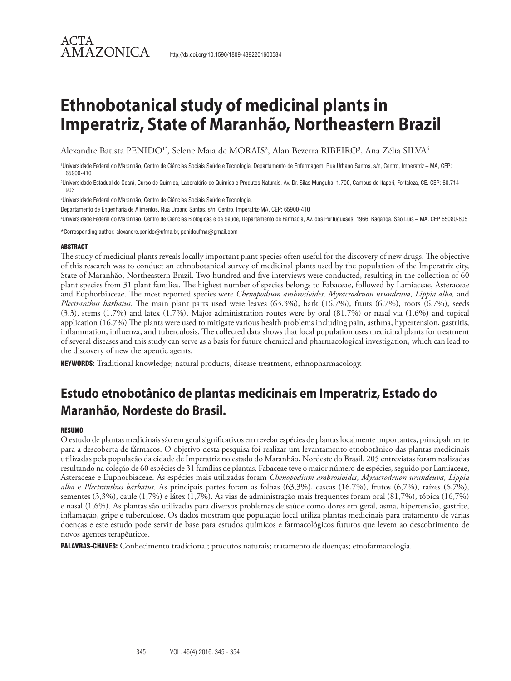Alexandre Batista PENIDO<sup>1</sup>\*, Selene Maia de MORAIS<sup>2</sup>, Alan Bezerra RIBEIRO<sup>3</sup>, Ana Zélia SILVA<sup>4</sup>

1 Universidade Federal do Maranhão, Centro de Ciências Sociais Saúde e Tecnologia, Departamento de Enfermagem, Rua Urbano Santos, s/n, Centro, Imperatriz – MA, CEP: 65900-410

2 Universidade Estadual do Ceará, Curso de Química, Laboratório de Química e Produtos Naturais, Av. Dr. Silas Munguba, 1.700, Campus do Itaperi, Fortaleza, CE. CEP: 60.714- 903

3 Universidade Federal do Maranhão, Centro de Ciências Sociais Saúde e Tecnologia,

Departamento de Engenharia de Alimentos, Rua Urbano Santos, s/n, Centro, Imperatriz-MA. CEP: 65900-410

4 Universidade Federal do Maranhão, Centro de Ciências Biológicas e da Saúde, Departamento de Farmácia, Av. dos Portugueses, 1966, Baganga, São Luís – MA. CEP 65080-805

\*Corresponding author: alexandre.penido@ufma.br, penidoufma@gmail.com

#### ABSTRACT

ACTA

**AMAZONICA** 

The study of medicinal plants reveals locally important plant species often useful for the discovery of new drugs. The objective of this research was to conduct an ethnobotanical survey of medicinal plants used by the population of the Imperatriz city, State of Maranhão, Northeastern Brazil. Two hundred and five interviews were conducted, resulting in the collection of 60 plant species from 31 plant families. The highest number of species belongs to Fabaceae, followed by Lamiaceae, Asteraceae and Euphorbiaceae. The most reported species were *Chenopodium ambrosioides, Myracrodruon urundeuva, Lippia alba,* and *Plectranthus barbatus.* The main plant parts used were leaves (63.3%), bark (16.7%), fruits (6.7%), roots (6.7%), seeds (3.3), stems (1.7%) and latex (1.7%). Major administration routes were by oral (81.7%) or nasal via (1.6%) and topical application (16.7%) The plants were used to mitigate various health problems including pain, asthma, hypertension, gastritis, inflammation, influenza, and tuberculosis. The collected data shows that local population uses medicinal plants for treatment of several diseases and this study can serve as a basis for future chemical and pharmacological investigation, which can lead to the discovery of new therapeutic agents.

KEYWORDS: Traditional knowledge; natural products, disease treatment, ethnopharmacology.

## **Estudo etnobotânico de plantas medicinais em Imperatriz, Estado do Maranhão, Nordeste do Brasil.**

#### **RESUMO**

O estudo de plantas medicinais são em geral significativos em revelar espécies de plantas localmente importantes, principalmente para a descoberta de fármacos. O objetivo desta pesquisa foi realizar um levantamento etnobotânico das plantas medicinais utilizadas pela população da cidade de Imperatriz no estado do Maranhão, Nordeste do Brasil. 205 entrevistas foram realizadas resultando na coleção de 60 espécies de 31 famílias de plantas. Fabaceae teve o maior número de espécies, seguido por Lamiaceae, Asteraceae e Euphorbiaceae. As espécies mais utilizadas foram *Chenopodium ambrosioides*, *Myracrodruon urundeuva*, *Lippia alba* e *Plectranthus barbatus*. As principais partes foram as folhas (63,3%), cascas (16,7%), frutos (6,7%), raízes (6,7%), sementes (3,3%), caule (1,7%) e látex (1,7%). As vias de administração mais frequentes foram oral (81,7%), tópica (16,7%) e nasal (1,6%). As plantas são utilizadas para diversos problemas de saúde como dores em geral, asma, hipertensão, gastrite, inflamação, gripe e tuberculose. Os dados mostram que população local utiliza plantas medicinais para tratamento de várias doenças e este estudo pode servir de base para estudos químicos e farmacológicos futuros que levem ao descobrimento de novos agentes terapêuticos.

PALAVRAS-CHAVES: Conhecimento tradicional; produtos naturais; tratamento de doenças; etnofarmacologia.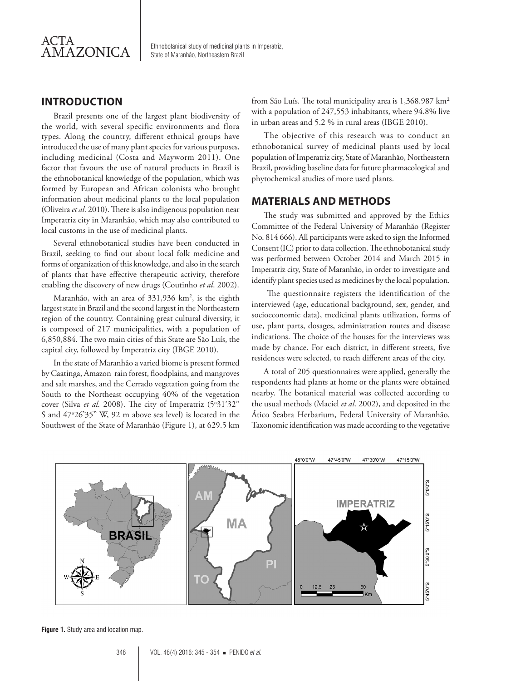

## **INTRODUCTION**

Brazil presents one of the largest plant biodiversity of the world, with several specific environments and flora types. Along the country, different ethnical groups have introduced the use of many plant species for various purposes, including medicinal (Costa and Mayworm 2011). One factor that favours the use of natural products in Brazil is the ethnobotanical knowledge of the population, which was formed by European and African colonists who brought information about medicinal plants to the local population (Oliveira *et al*. 2010). There is also indigenous population near Imperatriz city in Maranhão, which may also contributed to local customs in the use of medicinal plants.

Several ethnobotanical studies have been conducted in Brazil, seeking to find out about local folk medicine and forms of organization of this knowledge, and also in the search of plants that have effective therapeutic activity, therefore enabling the discovery of new drugs (Coutinho *et al*. 2002).

Maranhão, with an area of 331,936 km², is the eighth largest state in Brazil and the second largest in the Northeastern region of the country. Containing great cultural diversity, it is composed of 217 municipalities, with a population of 6,850,884. The two main cities of this State are São Luís, the capital city, followed by Imperatriz city (IBGE 2010).

In the state of Maranhão a varied biome is present formed by Caatinga, Amazon rain forest, floodplains, and mangroves and salt marshes, and the Cerrado vegetation going from the South to the Northeast occupying 40% of the vegetation cover (Silva *et al.* 2008). The city of Imperatriz (5°31'32" S and 47°26'35" W, 92 m above sea level) is located in the Southwest of the State of Maranhão (Figure 1), at 629.5 km

from São Luís. The total municipality area is 1,368.987 km<sup>2</sup> with a population of 247,553 inhabitants, where 94.8% live in urban areas and 5.2 % in rural areas (IBGE 2010).

The objective of this research was to conduct an ethnobotanical survey of medicinal plants used by local population of Imperatriz city, State of Maranhão, Northeastern Brazil, providing baseline data for future pharmacological and phytochemical studies of more used plants.

### **MATERIALS AND METHODS**

The study was submitted and approved by the Ethics Committee of the Federal University of Maranhão (Register No. 814 666). All participants were asked to sign the Informed Consent (IC) prior to data collection. The ethnobotanical study was performed between October 2014 and March 2015 in Imperatriz city, State of Maranhão, in order to investigate and identify plant species used as medicines by the local population.

 The questionnaire registers the identification of the interviewed (age, educational background, sex, gender, and socioeconomic data), medicinal plants utilization, forms of use, plant parts, dosages, administration routes and disease indications. The choice of the houses for the interviews was made by chance. For each district, in different streets, five residences were selected, to reach different areas of the city.

A total of 205 questionnaires were applied, generally the respondents had plants at home or the plants were obtained nearby. The botanical material was collected according to the usual methods (Maciel *et al*. 2002), and deposited in the Ático Seabra Herbarium, Federal University of Maranhão. Taxonomic identification was made according to the vegetative



**Figure 1.** Study area and location map.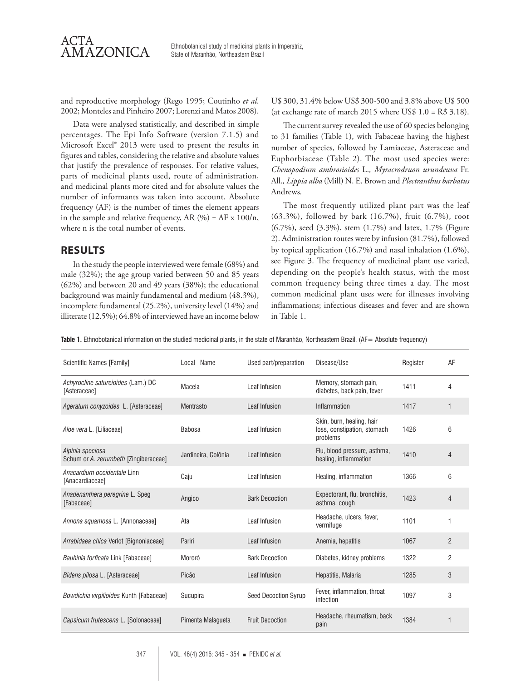

and reproductive morphology (Rego 1995; Coutinho *et al*. 2002; Monteles and Pinheiro 2007; Lorenzi and Matos 2008).

Data were analysed statistically, and described in simple percentages. The Epi Info Software (version 7.1.5) and Microsoft Excel® 2013 were used to present the results in figures and tables, considering the relative and absolute values that justify the prevalence of responses. For relative values, parts of medicinal plants used, route of administration, and medicinal plants more cited and for absolute values the number of informants was taken into account. Absolute frequency (AF) is the number of times the element appears in the sample and relative frequency, AR  $(\%)$  = AF x 100/n, where n is the total number of events.

### **RESULTS**

In the study the people interviewed were female (68%) and male (32%); the age group varied between 50 and 85 years (62%) and between 20 and 49 years (38%); the educational background was mainly fundamental and medium (48.3%), incomplete fundamental (25.2%), university level (14%) and illiterate (12.5%); 64.8% of interviewed have an income below U\$ 300, 31.4% below US\$ 300-500 and 3.8% above U\$ 500 (at exchange rate of march 2015 where US\$  $1.0 = R$3.18$ ).

The current survey revealed the use of 60 species belonging to 31 families (Table 1), with Fabaceae having the highest number of species, followed by Lamiaceae, Asteraceae and Euphorbiaceae (Table 2). The most used species were: *Chenopodium ambrosioides* L.*, Myracrodruon urundeuva* Fr. All.*, Lippia alba* (Mill) N. E. Brown and *Plectranthus barbatus*  Andrews*.* 

The most frequently utilized plant part was the leaf (63.3%), followed by bark (16.7%), fruit (6.7%), root (6.7%), seed (3.3%), stem (1.7%) and latex, 1.7% (Figure 2). Administration routes were by infusion (81.7%), followed by topical application (16.7%) and nasal inhalation (1.6%), see Figure 3. The frequency of medicinal plant use varied, depending on the people's health status, with the most common frequency being three times a day. The most common medicinal plant uses were for illnesses involving inflammations; infectious diseases and fever and are shown in Table 1.

**Table 1.** Ethnobotanical information on the studied medicinal plants, in the state of Maranhão, Northeastern Brazil. (AF= Absolute frequency)

| <b>Scientific Names [Family]</b>                          | Local Name          | Used part/preparation       | Disease/Use                                                          | Register | AF             |
|-----------------------------------------------------------|---------------------|-----------------------------|----------------------------------------------------------------------|----------|----------------|
| Achyrocline satureioides (Lam.) DC<br>[Asteraceae]        | Macela              | Leaf Infusion               | Memory, stomach pain,<br>diabetes, back pain, fever                  | 1411     | 4              |
| Ageratum conyzoides L. [Asteraceae]                       | Mentrasto           | Leaf Infusion               | Inflammation                                                         | 1417     | 1              |
| Aloe vera L. [Liliaceae]                                  | <b>Babosa</b>       | Leaf Infusion               | Skin, burn, healing, hair<br>loss, constipation, stomach<br>problems | 1426     | 6              |
| Alpinia speciosa<br>Schum or A. zerumbeth [Zingiberaceae] | Jardineira, Colônia | Leaf Infusion               | Flu, blood pressure, asthma,<br>healing, inflammation                | 1410     | $\overline{4}$ |
| Anacardium occidentale Linn<br>[Anacardiaceae]            | Caju                | Leaf Infusion               | Healing, inflammation                                                | 1366     | 6              |
| Anadenanthera peregrine L. Speg<br>[Fabaceae]             | Angico              | <b>Bark Decoction</b>       | Expectorant, flu, bronchitis,<br>asthma, cough                       | 1423     | $\overline{4}$ |
| Annona squamosa L. [Annonaceae]                           | Ata                 | Leaf Infusion               | Headache, ulcers, fever,<br>vermifuge                                | 1101     | $\overline{1}$ |
| Arrabidaea chica Verlot [Bignoniaceae]                    | Pariri              | Leaf Infusion               | Anemia, hepatitis                                                    | 1067     | $\overline{2}$ |
| Bauhinia forficata Link [Fabaceae]                        | Mororó              | <b>Bark Decoction</b>       | Diabetes, kidney problems                                            | 1322     | $\overline{2}$ |
| Bidens pilosa L. [Asteraceae]                             | Picão               | Leaf Infusion               | Hepatitis, Malaria                                                   | 1285     | 3              |
| Bowdichia virgilioides Kunth [Fabaceae]                   | Sucupira            | <b>Seed Decoction Syrup</b> | Fever, inflammation, throat<br>infection                             | 1097     | 3              |
| Capsicum frutescens L. [Solonaceae]                       | Pimenta Malagueta   | <b>Fruit Decoction</b>      | Headache, rheumatism, back<br>pain                                   | 1384     |                |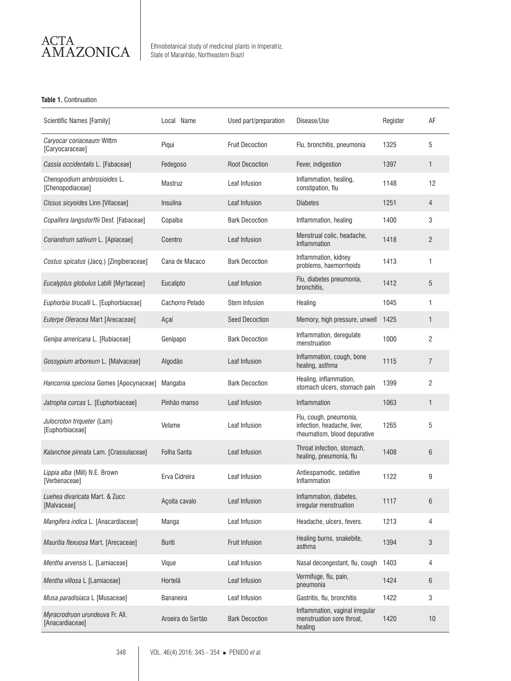

#### **Table 1.** Continuation

| Scientific Names [Family]                          | Local Name         | Used part/preparation  | Disease/Use                                                                           | Register | AF             |
|----------------------------------------------------|--------------------|------------------------|---------------------------------------------------------------------------------------|----------|----------------|
| Caryocar coriaceaum Wittm<br>[Caryocaraceae]       | Piqui              | <b>Fruit Decoction</b> | Flu, bronchitis, pneumonia                                                            | 1325     | 5              |
| Cassia occidentalis L. [Fabaceae]                  | Fedegoso           | <b>Root Decoction</b>  | Fever, indigestion                                                                    | 1397     | 1              |
| Chenopodium ambrosioides L.<br>[Chenopodiaceae]    | Mastruz            | Leaf Infusion          | Inflammation, healing,<br>constipation, flu                                           | 1148     | 12             |
| Cissus sicyoides Linn [Vitaceae]                   | Insulina           | Leaf Infusion          | <b>Diabetes</b>                                                                       | 1251     | 4              |
| Copaifera langsdorffii Desf. [Fabaceae]            | Copaiba            | <b>Bark Decoction</b>  | Inflammation, healing                                                                 | 1400     | 3              |
| Coriandrum sativum L. [Apiaceae]                   | Coentro            | Leaf Infusion          | Menstrual colic, headache,<br>Inflammation                                            | 1418     | $\overline{c}$ |
| Costus spicatus (Jacq.) [Zingiberaceae]            | Cana de Macaco     | <b>Bark Decoction</b>  | Inflammation, kidney<br>problems, haemorrhoids                                        | 1413     | 1              |
| Eucalyptus globulus Labill [Myrtaceae]             | Eucalipto          | Leaf Infusion          | Flu, diabetes pneumonia,<br>bronchitis,                                               | 1412     | 5              |
| Euphorbia tirucalli L. [Euphorbiaceae]             | Cachorro Pelado    | <b>Stem Infusion</b>   | Healing                                                                               | 1045     | 1              |
| Euterpe Oleracea Mart [Arecaceae]                  | Açaí               | <b>Seed Decoction</b>  | Memory, high pressure, unwell                                                         | 1425     | $\mathbf{1}$   |
| Genipa americana L. [Rubiaceae]                    | Genipapo           | <b>Bark Decoction</b>  | Inflammation, deregulate<br>menstruation                                              | 1000     | $\overline{c}$ |
| Gossypium arboreum L. [Malvaceae]                  | Algodão            | Leaf Infusion          | Inflammation, cough, bone<br>healing, asthma                                          | 1115     | $\overline{7}$ |
| Hancornia speciosa Gomes [Apocynaceae]             | Mangaba            | <b>Bark Decoction</b>  | Healing, inflammation,<br>stomach ulcers, stomach pain                                | 1399     | 2              |
| Jatropha curcas L. [Euphorbiaceae]                 | Pinhão manso       | Leaf Infusion          | Inflammation                                                                          | 1063     | $\mathbf{1}$   |
| Julocroton triqueter (Lam)<br>[Euphorbiaceae]      | Velame             | Leaf Infusion          | Flu, cough, pneumonia,<br>infection, headache, liver,<br>rheumatism, blood depurative | 1265     | 5              |
| Kalanchoe pinnata Lam. [Crassulaceae]              | <b>Folha Santa</b> | Leaf Infusion          | Throat infection, stomach,<br>healing, pneumonia, flu                                 | 1408     | 6              |
| Lippia alba (Mill) N.E. Brown<br>[Verbenaceae]     | Erva Cidreira      | Leaf Infusion          | Antiespamodic, sedative<br>Inflammation                                               | 1122     | 9              |
| Luehea divaricata Mart. & Zucc<br>[Malvaceae]      | Açoita cavalo      | Leaf Infusion          | Inflammation, diabetes,<br>irregular menstruation                                     | 1117     | 6              |
| Mangifera indica L. [Anacardiaceae]                | Manga              | Leaf Infusion          | Headache, ulcers, fevers.                                                             | 1213     | 4              |
| Mauritia flexuosa Mart. [Arecaceae]                | <b>Buriti</b>      | Fruit Infusion         | Healing burns, snakebite,<br>asthma                                                   | 1394     | 3              |
| Mentha arvensis L. [Lamiaceae]                     | Vique              | Leaf Infusion          | Nasal decongestant, flu, cough                                                        | 1403     | 4              |
| Mentha villosa L [Lamiaceae]                       | Hortelã            | Leaf Infusion          | Vermifuge, flu, pain,<br>pneumonia                                                    | 1424     | 6              |
| Musa paradisiaca L [Musaceae]                      | <b>Bananeira</b>   | Leaf Infusion          | Gastritis, flu, bronchitis                                                            | 1422     | 3              |
| Myracrodruon urundeuva Fr. All.<br>[Anacardiaceae] | Aroeira do Sertão  | <b>Bark Decoction</b>  | Inflammation, vaginal irregular<br>menstruation sore throat,<br>healing               | 1420     | 10             |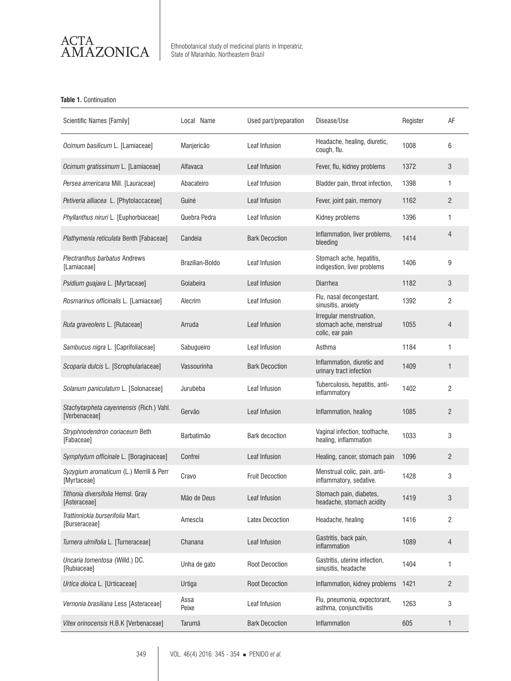

 $\widetilde{\text{AMAZONICA}}\parallel$  Ethnobotanical study of medicinal plants in Imperatriz,

#### **Table 1.** Continuation

| Scientific Names [Family]                                 | Local Name      | Used part/preparation  | Disease/Use                                                           | Register | AF             |
|-----------------------------------------------------------|-----------------|------------------------|-----------------------------------------------------------------------|----------|----------------|
| Ocimum basilicum L. [Lamiaceae]                           | Manjericão      | Leaf Infusion          | Headache, healing, diuretic,<br>cough, flu.                           | 1008     | 6              |
| Ocimum gratissimum L. [Lamiaceae]                         | Alfavaca        | Leaf Infusion          | Fever, flu, kidney problems                                           | 1372     | 3              |
| Persea americana Mill. [Lauraceae]                        | Abacateiro      | Leaf Infusion          | Bladder pain, throat infection,                                       | 1398     | 1              |
| Petiveria alliacea L. [Phytolaccaceae]                    | Guiné           | Leaf Infusion          | Fever, joint pain, memory                                             | 1162     | $\overline{c}$ |
| Phyllanthus niruri L. [Euphorbiaceae]                     | Quebra Pedra    | Leaf Infusion          | Kidney problems                                                       | 1396     | $\mathbf{1}$   |
| Plathymenia reticulata Benth [Fabaceae]                   | Candeia         | <b>Bark Decoction</b>  | Inflammation, liver problems,<br>bleeding                             | 1414     | 4              |
| Plectranthus barbatus Andrews<br>[Lamiaceae]              | Brazilian-Boldo | Leaf Infusion          | Stomach ache, hepatitis,<br>indigestion, liver problems               | 1406     | 9              |
| Psidium guajava L. [Myrtaceae]                            | Goiabeira       | Leaf Infusion          | <b>Diarrhea</b>                                                       | 1182     | 3              |
| Rosmarinus officinalis L. [Lamiaceae]                     | Alecrim         | Leaf Infusion          | Flu, nasal decongestant,<br>sinusitis, anxiety                        | 1392     | $\overline{c}$ |
| Ruta graveolens L. [Rutaceae]                             | Arruda          | Leaf Infusion          | Irregular menstruation,<br>stomach ache, menstrual<br>colic, ear pain | 1055     | 4              |
| Sambucus nigra L. [Caprifoliaceae]                        | Sabugueiro      | Leaf Infusion          | Asthma                                                                | 1184     | 1              |
| Scoparia dulcis L. [Scrophulariaceae]                     | Vassourinha     | <b>Bark Decoction</b>  | Inflammation, diuretic and<br>urinary tract infection                 | 1409     | $\mathbf{1}$   |
| Solanum paniculatum L. [Solonaceae]                       | Jurubeba        | Leaf Infusion          | Tuberculosis, hepatitis, anti-<br>inflammatory                        | 1402     | $\overline{c}$ |
| Stachytarpheta cayennensis (Rich.) Vahl.<br>[Verbenaceae] | Gervão          | Leaf Infusion          | Inflammation, healing                                                 | 1085     | $\overline{c}$ |
| Stryphnodendron coriaceum Beth<br>[Fabaceae]              | Barbatimão      | <b>Bark decoction</b>  | Vaginal infection, toothache,<br>healing, inflammation                | 1033     | 3              |
| Symphytum officinale L. [Boraginaceae]                    | Confrei         | Leaf Infusion          | Healing, cancer, stomach pain                                         | 1096     | $\overline{c}$ |
| Syzygium aromaticum (L.) Merrill & Perr<br>[Myrtaceae]    | Cravo           | <b>Fruit Decoction</b> | Menstrual colic, pain, anti-<br>inflammatory, sedative.               | 1428     | 3              |
| Tithonia diversifolia Hemsl. Gray<br>[Asteraceae]         | Mão de Deus     | Leaf Infusion          | Stomach pain, diabetes,<br>headache, stomach acidity                  | 1419     | 3              |
| Trattinnickia burserifolia Mart.<br>[Burseraceae]         | Amescla         | <b>Latex Decoction</b> | Headache, healing                                                     | 1416     | 2              |
| Turnera ulmifolia L. [Turneraceae]                        | Chanana         | Leaf Infusion          | Gastritis, back pain,<br>inflammation                                 | 1089     | $\overline{4}$ |
| Uncaria tomentosa (Willd.) DC.<br>[Rubiaceae]             | Unha de gato    | <b>Root Decoction</b>  | Gastritis, uterine infection,<br>sinusitis, headache                  | 1404     | 1              |
| Urtica dioica L. [Urticaceae]                             | Urtiga          | <b>Root Decoction</b>  | Inflammation, kidney problems                                         | 1421     | $\overline{2}$ |
| Vernonia brasiliana Less [Asteraceae]                     | Assa<br>Peixe   | Leaf Infusion          | Flu, pneumonia, expectorant,<br>asthma, conjunctivitis                | 1263     | 3              |
| Vitex orinocensis H.B.K [Verbenaceae]                     | Tarumã          | <b>Bark Decoction</b>  | Inflammation                                                          | 605      | 1              |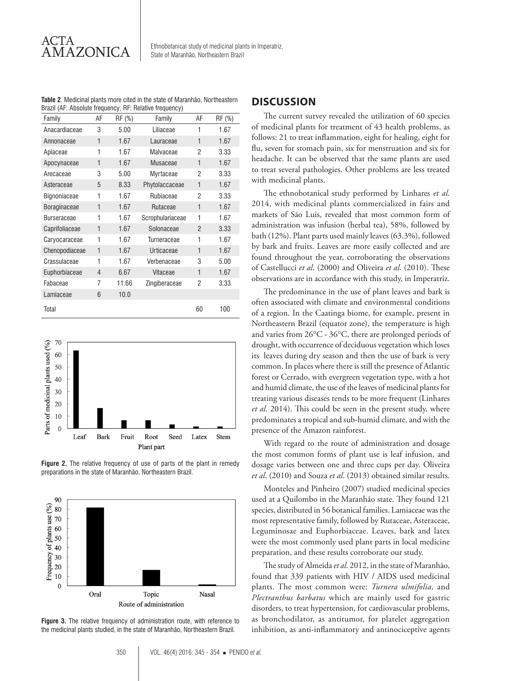**Table 2**. Medicinal plants more cited in the state of Maranhão, Northeastern Brazil (AF: Absolute frequency; RF: Relative frequency)

| Family             | AF           | RF (%) | Family           | AF             | RF (%) |
|--------------------|--------------|--------|------------------|----------------|--------|
| Anacardiaceae      | 3            | 5.00   | Liliaceae        | 1              | 1.67   |
| Annonaceae         | $\mathbf{1}$ | 1.67   | Lauraceae        | $\mathbf{1}$   | 1.67   |
| Apiaceae           | 1            | 1.67   | Malvaceae        | 2              | 3.33   |
| Apocynaceae        | $\mathbf{1}$ | 1.67   | Musaceae         | $\mathbf{1}$   | 1.67   |
| Arecaceae          | 3            | 5.00   | Myrtaceae        | 2              | 3.33   |
| Asteraceae         | 5            | 8.33   | Phytolaccaceae   | 1              | 1.67   |
| Bignoniaceae       | 1            | 1.67   | Rubiaceae        | 2              | 3.33   |
| Boraginaceae       | $\mathbf{1}$ | 1.67   | Rutaceae         | $\mathbf{1}$   | 1.67   |
| <b>Burseraceae</b> | 1            | 1.67   | Scrophulariaceae | 1              | 1.67   |
| Caprifoliaceae     | $\mathbf{1}$ | 1.67   | Solonaceae       | $\mathfrak{p}$ | 3.33   |
| Caryocaraceae      | 1            | 1.67   | Turneraceae      | 1              | 1.67   |
| Chenopodiaceae     | 1            | 1.67   | Urticaceae       | 1              | 1.67   |
| Crassulaceae       | 1            | 1.67   | Verbenaceae      | 3              | 5.00   |
| Euphorbiaceae      | 4            | 6.67   | Vitaceae         | $\mathbf{1}$   | 1.67   |
| Fabaceae           | 7            | 11.66  | Zingiberaceae    | 2              | 3.33   |
| Lamiaceae          | 6            | 10.0   |                  |                |        |
| Total              |              |        |                  | 60             | 100    |



**Figure 2.** The relative frequency of use of parts of the plant in remedy preparations in the state of Maranhão, Northeastern Brazil.



**Figure 3.** The relative frequency of administration route, with reference to the medicinal plants studied, in the state of Maranhão, Northeastern Brazil.

## **DISCUSSION**

The current survey revealed the utilization of 60 species of medicinal plants for treatment of 43 health problems, as follows: 21 to treat inflammation, eight for healing, eight for flu, seven for stomach pain, six for menstruation and six for headache. It can be observed that the same plants are used to treat several pathologies. Other problems are less treated with medicinal plants.

The ethnobotanical study performed by Linhares *et al*. 2014, with medicinal plants commercialized in fairs and markets of São Luis, revealed that most common form of administration was infusion (herbal tea), 58%, followed by bath (12%). Plant parts used mainly leaves (63.3%), followed by bark and fruits. Leaves are more easily collected and are found throughout the year, corroborating the observations of Castellucci *et al*. (2000) and Oliveira *et al*. (2010). These observations are in accordance with this study, in Imperatriz.

The predominance in the use of plant leaves and bark is often associated with climate and environmental conditions of a region. In the Caatinga biome, for example, present in Northeastern Brazil (equator zone), the temperature is high and varies from 26°C - 36°C, there are prolonged periods of drought, with occurrence of deciduous vegetation which loses its leaves during dry season and then the use of bark is very common. In places where there is still the presence of Atlantic forest or Cerrado, with evergreen vegetation type, with a hot and humid climate, the use of the leaves of medicinal plants for treating various diseases tends to be more frequent (Linhares *et al*. 2014). This could be seen in the present study, where predominates a tropical and sub-humid climate, and with the presence of the Amazon rainforest.

With regard to the route of administration and dosage the most common forms of plant use is leaf infusion, and dosage varies between one and three cups per day. Oliveira *et al*. (2010) and Souza *et al*. (2013) obtained similar results.

Monteles and Pinheiro (2007) studied medicinal species used at a Quilombo in the Maranhão state. They found 121 species, distributed in 56 botanical families. Lamiaceae was the most representative family, followed by Rutaceae, Asteraceae, Leguminosae and Euphorbiaceae. Leaves, bark and latex were the most commonly used plant parts in local medicine preparation, and these results corroborate our study.

The study of Almeida *et al*. 2012, in the state of Maranhão, found that 339 patients with HIV / AIDS used medicinal plants. The most common were: *Turnera ulmifolia,* and *Plectranthus barbatus* which are mainly used for gastric disorders, to treat hypertension, for cardiovascular problems, as bronchodilator, as antitumor, for platelet aggregation inhibition, as anti-inflammatory and antinociceptive agents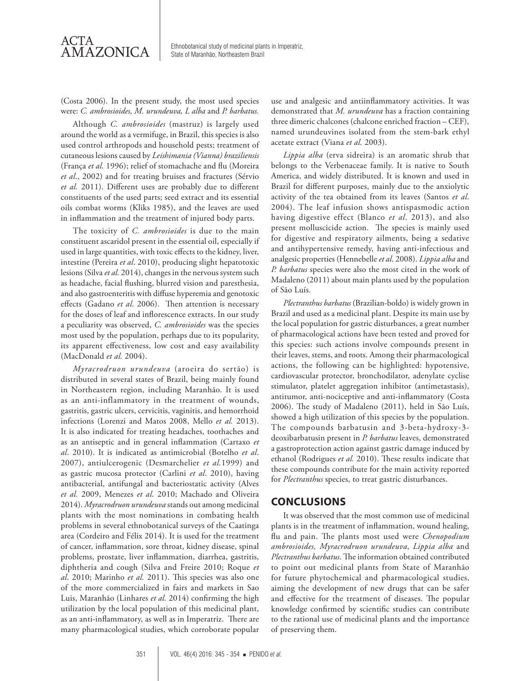

AMAZONICA State of Maranhão, Northeastern Brazil State of Maranhão, Northeastern Brazil

(Costa 2006). In the present study, the most used species were: *C. ambrosioides, M. urundeuva, L alba* and *P. barbatus.*

Although *C. ambrosioides* (mastruz) is largely used around the world as a vermifuge, in Brazil, this species is also used control arthropods and household pests; treatment of cutaneous lesions caused by *Leishimania (Vianna) braziliensis* (França *et al.* 1996); relief of stomachache and flu (Moreira *et al*., 2002) and for treating bruises and fractures (Sérvio *et al.* 2011). Different uses are probably due to different constituents of the used parts; seed extract and its essential oils combat worms (Kliks 1985), and the leaves are used in inflammation and the treatment of injured body parts.

The toxicity of *C. ambrosioides* is due to the main constituent ascaridol present in the essential oil, especially if used in large quantities, with toxic effects to the kidney, liver, intestine (Pereira *et al*. 2010), producing slight hepatotoxic lesions (Silva *et al.* 2014), changes in the nervous system such as headache, facial flushing, blurred vision and paresthesia, and also gastroenteritis with diffuse hyperemia and genotoxic effects (Gadano *et al*. 2006). Then attention is necessary for the doses of leaf and inflorescence extracts. In our study a peculiarity was observed, *C. ambrosioides* was the species most used by the population, perhaps due to its popularity, its apparent effectiveness, low cost and easy availability (MacDonald *et al.* 2004).

*Myracrodruon urundeuva* (aroeira do sertão) is distributed in several states of Brazil, being mainly found in Northeastern region, including Maranhão. It is used as an anti-inflammatory in the treatment of wounds, gastritis, gastric ulcers, cervicitis, vaginitis, and hemorrhoid infections (Lorenzi and Matos 2008, Mello *et al.* 2013). It is also indicated for treating headaches, toothaches and as an antiseptic and in general inflammation (Cartaxo *et al*. 2010). It is indicated as antimicrobial (Botelho *et al*. 2007), antiulcerogenic (Desmarchelier *et al.*1999) and as gastric mucosa protector (Carlini *et al*. 2010), having antibacterial, antifungal and bacteriostatic activity (Alves *et al.* 2009, Menezes *et al*. 2010; Machado and Oliveira 2014). *Myracrodruon urundeuva* stands out among medicinal plants with the most nominations in combating health problems in several ethnobotanical surveys of the Caatinga area (Cordeiro and Félix 2014). It is used for the treatment of cancer, inflammation, sore throat, kidney disease, spinal problems, prostate, liver inflammation, diarrhea, gastritis, diphtheria and cough (Silva and Freire 2010; Roque *et al*. 2010; Marinho *et al.* 2011). This species was also one of the more commercialized in fairs and markets in Sao Luis, Maranhão (Linhares *et al.* 2014) confirming the high utilization by the local population of this medicinal plant, as an anti-inflammatory, as well as in Imperatriz. There are many pharmacological studies, which corroborate popular

use and analgesic and antiinflammatory activities. It was demonstrated that *M. urundeuva* has a fraction containing three dimeric chalcones (chalcone enriched fraction – CEF), named urundeuvines isolated from the stem-bark ethyl acetate extract (Viana *et al.* 2003).

*Lippia alba* (erva sidreira) is an aromatic shrub that belongs to the Verbenaceae family. It is native to South America, and widely distributed. It is known and used in Brazil for different purposes, mainly due to the anxiolytic activity of the tea obtained from its leaves (Santos *et al*. 2004). The leaf infusion shows antispasmodic action having digestive effect (Blanco *et al*. 2013), and also present molluscicide action. The species is mainly used for digestive and respiratory ailments, being a sedative and antihypertensive remedy, having anti-infectious and analgesic properties (Hennebelle *et al*. 2008). *Lippia alba* and *P. barbatus* species were also the most cited in the work of Madaleno (2011) about main plants used by the population of São Luís.

*Plectranthus barbatus* (Brazilian-boldo) is widely grown in Brazil and used as a medicinal plant. Despite its main use by the local population for gastric disturbances, a great number of pharmacological actions have been tested and proved for this species: such actions involve compounds present in their leaves, stems, and roots. Among their pharmacological actions, the following can be highlighted: hypotensive, cardiovascular protector, bronchodilator, adenylate cyclise stimulator, platelet aggregation inhibitor (antimetastasis), antitumor, anti-nociceptive and anti-inflammatory (Costa 2006). The study of Madaleno (2011), held in São Luís, showed a high utilization of this species by the population. The compounds barbatusin and 3-beta-hydroxy-3 deoxibarbatusin present in *P. barbatus* leaves, demonstrated a gastroprotection action against gastric damage induced by ethanol (Rodrigues *et al.* 2010). These results indicate that these compounds contribute for the main activity reported for *Plectranthus* species, to treat gastric disturbances.

## **CONCLUSIONS**

It was observed that the most common use of medicinal plants is in the treatment of inflammation, wound healing, flu and pain. The plants most used were *Chenopodium ambrosioides, Myracrodruon urundeuva*, *Lippia alba* and *Plectranthus barbatus*. The information obtained contributed to point out medicinal plants from State of Maranhão for future phytochemical and pharmacological studies, aiming the development of new drugs that can be safer and effective for the treatment of diseases. The popular knowledge confirmed by scientific studies can contribute to the rational use of medicinal plants and the importance of preserving them.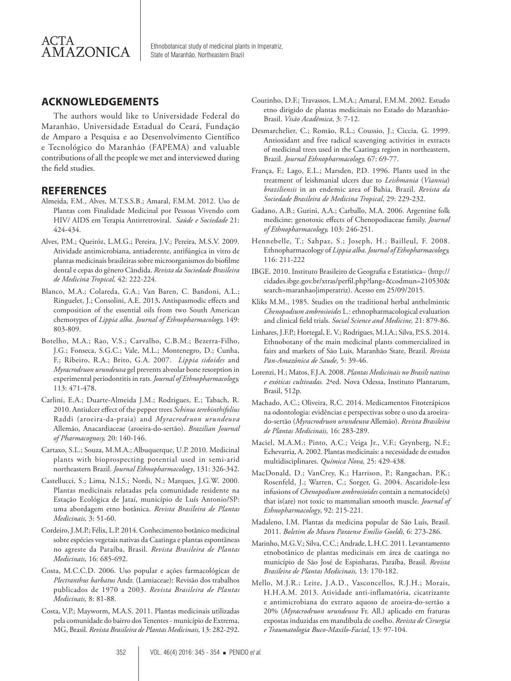

## **ACKNOWLEDGEMENTS**

The authors would like to Universidade Federal do Maranhão, Universidade Estadual do Ceará, Fundação de Amparo a Pesquisa e ao Desenvolvimento Científico e Tecnológico do Maranhão (FAPEMA) and valuable contributions of all the people we met and interviewed during the field studies.

## **REFERENCES**

- Almeida, F.M., Alves, M.T.S.S.B.; Amaral, F.M.M. 2012. Uso de Plantas com Finalidade Medicinal por Pessoas Vivendo com HIV/ AIDS em Terapia Antirretroviral. *Saúde e Sociedade* 21: 424-434.
- Alves, P.M.; Queiróz, L.M.G.; Pereira, J.V.; Pereira, M.S.V. 2009. Atividade antimicrobiana, antiaderente, antifúngica in vitro de plantas medicinais brasileiras sobre microorganismos do biofilme dental e cepas do gênero Cândida. *Revista da Sociedade Brasileira de Medicina Tropical,* 42: 222-224.
- Blanco, M.A.; Colareda, G.A.; Van Baren, C. Bandoni, A.L.; Ringuelet, J.; Consolini, A.E. 2013**.** Antispasmodic effects and composition of the essential oils from two South American chemotypes of *Lippia alba*. *Journal of Ethnopharmacology,* 149: 803-809.
- Botelho, M.A.; Rao, V.S.; Carvalho, C.B.M.; Bezerra-Filho, J.G.; Fonseca, S.G.C.; Vale, M.L.; Montenegro, D.; Cunha, F.; Ribeiro, R.A.; Brito, G.A. 2007. *Lippia sidoides* and *Myracrodruon urundeuva* gel prevents alveolar bone resorption in experimental periodontitis in rats. *Journal of Ethnopharmacology,* 113: 471-478.
- Carlini, E.A.; Duarte-Almeida J.M.; Rodrigues, E.; Tabach, R. 2010. Antiulcer effect of the pepper trees *Schinus terebinthifolius* Raddi (aroeira-da-praia) and *Myracrodruon urundeuva* Allemão, Anacardiaceae (aroeira-do-sertão). *Brazilian Journal of Pharmacognosy,* 20: 140-146.
- Cartaxo, S.L.; Souza, M.M.A.; Albuquerque, U.P. 2010. Medicinal plants with bioprospecting potential used in semi-arid northeastern Brazil. *Journal Ethnopharmacology*, 131: 326-342.
- Castellucci, S.; Lima, N.I.S.; Nordi, N.; Marques, J.G.W. 2000. Plantas medicinais relatadas pela comunidade residente na Estação Ecológica de Jataí, município de Luís Antonio/SP: uma abordagem etno botânica. *Revista Brasileira de Plantas Medicinais,* 3: 51-60.
- Cordeiro, J.M.P.; Félix, L.P. 2014. Conhecimento botânico medicinal sobre espécies vegetais nativas da Caatinga e plantas espontâneas no agreste da Paraíba, Brasil. *Revista Brasileira de Plantas Medicinais,* 16: 685-692.
- Costa, M.C.C.D. 2006. Uso popular e ações farmacológicas de *Plectranthus barbatus* Andr. (Lamiaceae): Revisão dos trabalhos publicados de 1970 a 2003. *Revista Brasileira de Plantas Medicinais,* 8: 81-88.
- Costa, V.P.; Mayworm, M.A.S. 2011. Plantas medicinais utilizadas pela comunidade do bairro dos Tenentes - município de Extrema, MG, Brasil. *Revista Brasileira de Plantas Medicinais,* 13: 282-292.
- Coutinho, D.F.; Travassos, L.M.A.; Amaral, F.M.M. 2002. Estudo etno dirigido de plantas medicinais no Estado do Maranhão-Brasil. *Visão Acadêmica*, 3: 7-12.
- Desmarchelier, C.; Romão, R.L.; Coussio, J.; Ciccia, G. 1999. Antioxidant and free radical scavenging activities in extracts of medicinal trees used in the Caatinga region in northeastern, Brazil. *Journal Ethnopharmacology,* 67: 69-77.
- França, F.; Lago, E.L.; Marsden, P.D. 1996. Plants used in the treatment of leishmanial ulcers due to *Leishmania* (*Viannia*) *braziliensis* in an endemic area of Bahia, Brazil. *Revista da Sociedade Brasileira de Medicina Tropical*, 29: 229-232.
- Gadano, A.B.; Gurini, A.A.; Carballo, M.A. 2006. Argentine folk medicine: genotoxic effects of Chenopodiaceae family. *Journal of Ethnopharmacology,* 103: 246-251.
- Hennebelle, T.; Sahpaz, S.; Joseph, H.; Bailleul, F. 2008. Ethnopharmacology of *Lippia alba*. *Journal of Ethopharmacology,* 116: 211-222
- IBGE. 2010. Instituto Brasileiro de Geografia e Estatística– (http:// cidades.ibge.gov.br/xtras/perfil.php?lang=&codmun=210530& search=maranhao|imperatriz). Acesso em 25/09/2015.
- Kliks M.M., 1985. Studies on the traditional herbal anthelmintic *Chenopodium ambrosioides* L.: ethnopharmacological evaluation and clinical field trials. *Social Science and Medicine,* 21: 879-86.
- Linhares, J.F.P.; Hortegal, E. V.; Rodrigues, M.I.A.; Silva, P.S.S. 2014. Ethnobotany of the main medicinal plants commercialized in fairs and markets of São Luis, Maranhão State, Brazil. *Revista Pan-Amazônica de Saude,* 5: 39-46.
- Lorenzi, H.; Matos, F.J.A. 2008. *Plantas Medicinais no Brasil: nativas e exóticas cultivadas.* 2ªed. Nova Odessa, Instituto Plantarum, Brasil, 512p.
- Machado, A.C.; Oliveira, R.C. 2014. Medicamentos Fitoterápicos na odontologia: evidências e perspectivas sobre o uso da aroeirado-sertão (*Myracrodruon urundeuva* Allemão). *Revista Brasileira de Plantas Medicinais,* 16: 283-289.
- Maciel, M.A.M.; Pinto, A.C.; Veiga Jr., V.F.; Grynberg, N.F.; Echevarria, A. 2002. Plantas medicinais: a necessidade de estudos multidisciplinares. *Química Nova,* 25: 429-438.
- MacDonald, D.; VanCrey, K.; Harrison, P.; Rangachan, P.K.; Rosenfeld, J.; Warren, C.; Sorger, G. 2004. Ascaridole-less infusions of *Chenopodium ambrosioides* contain a nematocide(s) that is(are) not toxic to mammalian smooth muscle. *Journal of Ethnopharmacology*, 92: 215-221.
- Madaleno, I.M. Plantas da medicina popular de São Luís, Brasil. 2011. *Boletim do Museu Paraense Emílio Goeldi,* 6: 273-286.
- Marinho, M.G.V.; Silva, C.C.; Andrade, L.H.C. 2011. Levantamento etnobotânico de plantas medicinais em área de caatinga no município de São José de Espinharas, Paraíba, Brasil. *Revista Brasileira de Plantas Medicinais,* 13: 170-182.
- Mello, M.J.R.; Leite, J.A.D., Vasconcellos, R.J.H.; Morais, H.H.A.M. 2013. Atividade anti-inflamatória, cicatrizante e antimicrobiana do extrato aquoso de aroeira-do-sertão a 20% (*Myracrodruon urundeuva* Fr. All.) aplicado em fraturas expostas induzidas em mandíbula de coelho. *Revista de Cirurgia e Traumatologia Buco-Maxilo-Facial*, 13: 97-104.